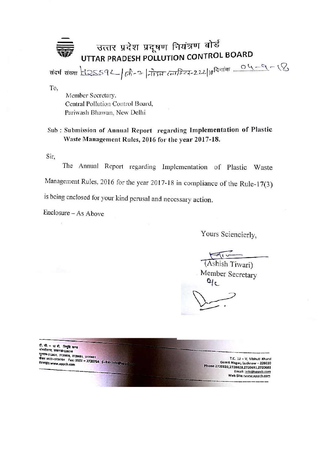## उत्तर प्रदेश प्रदूषण नियंत्रण बोर्ड UTTAR PRADESH POLLUTION CONTROL BOARD

To.

Member Secretary, Central Pollution Control Board, Pariwash Bhawan, New Delhi

## Sub: Submission of Annual Report regarding Implementation of Plastic Waste Management Rules, 2016 for the year 2017-18.

Sir,

The Annual Report regarding Implementation of Plastic Waste Management Rules, 2016 for the year 2017-18 in compliance of the Rule-17(3) is being enclosed for your kind perusal and necessary action.

Enclosure - As Above

Yours Sciencierly,

 $F_1$ 

(Ashish Tiwari) Member Secretary  $q_c$ 

टी. सी. - 12 बी. बिनूचि खण्ड गोमतीनगर, लखनऊ-226010 국민대학-272831, 2720828, 2720691, 2720681 फेक्स 0522-2720764 Fax: 0522 - 2720764 ई-मेल- info@uppdate वेबसाइट: www.uppcb.com

T.C. 12 - V, Vibhuti Khand Gomti Nagar, Lucknow - 226010 Phone:2720831,2720828,2720691,2720681 Email: info@uppcb.com Web Site: www.uppcb.com